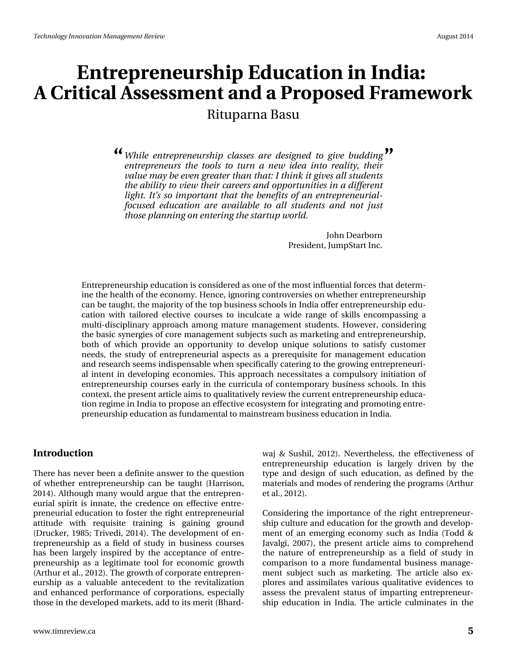# **Entrepreneurship Education in India: A Critical Assessment and a Proposed Framework**

## Rituparna Basu

*While entrepreneurship classes are designed to give budding* **" "***entrepreneurs the tools to turn a new idea into reality, their value may be even greater than that: I think it gives all students the ability to view their careers and opportunities in a different light. It's so important that the benefits of an entrepreneurialfocused education are available to all students and not just those planning on entering the startup world.*

> John Dearborn President, JumpStart Inc.

Entrepreneurship education is considered as one of the most influential forces that determine the health of the economy. Hence, ignoring controversies on whether entrepreneurship can be taught, the majority of the top business schools in India offer entrepreneurship education with tailored elective courses to inculcate a wide range of skills encompassing a multi-disciplinary approach among mature management students. However, considering the basic synergies of core management subjects such as marketing and entrepreneurship, both of which provide an opportunity to develop unique solutions to satisfy customer needs, the study of entrepreneurial aspects as a prerequisite for management education and research seems indispensable when specifically catering to the growing entrepreneurial intent in developing economies. This approach necessitates a compulsory initiation of entrepreneurship courses early in the curricula of contemporary business schools. In this context, the present article aims to qualitatively review the current entrepreneurship education regime in India to propose an effective ecosystem for integrating and promoting entrepreneurship education as fundamental to mainstream business education in India.

#### **Introduction**

There has never been a definite answer to the question of whether entrepreneurship can be taught (Harrison, 2014). Although many would argue that the entrepreneurial spirit is innate, the credence on effective entrepreneurial education to foster the right entrepreneurial attitude with requisite training is gaining ground (Drucker, 1985; Trivedi, 2014). The development of entrepreneurship as a field of study in business courses has been largely inspired by the acceptance of entrepreneurship as a legitimate tool for economic growth (Arthur et al., 2012). The growth of corporate entrepreneurship as a valuable antecedent to the revitalization and enhanced performance of corporations, especially those in the developed markets, add to its merit (Bhardwaj & Sushil, 2012). Nevertheless, the effectiveness of entrepreneurship education is largely driven by the type and design of such education, as defined by the materials and modes of rendering the programs (Arthur et al., 2012).

Considering the importance of the right entrepreneurship culture and education for the growth and development of an emerging economy such as India (Todd & Javalgi, 2007), the present article aims to comprehend the nature of entrepreneurship as a field of study in comparison to a more fundamental business management subject such as marketing. The article also explores and assimilates various qualitative evidences to assess the prevalent status of imparting entrepreneurship education in India. The article culminates in the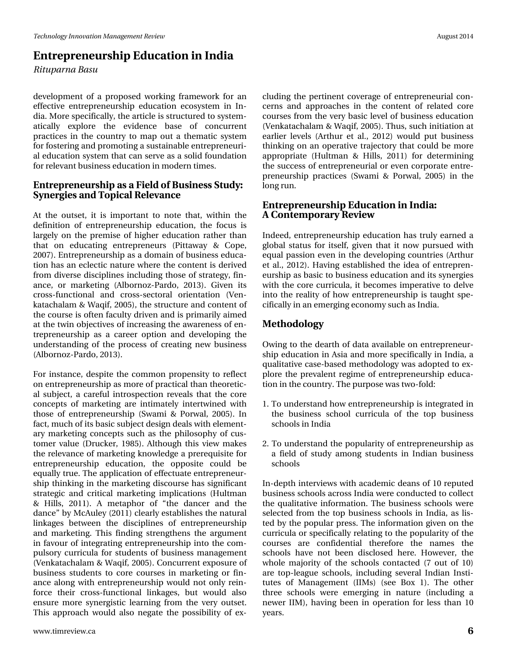## **Entrepreneurship Education in India**

*Rituparna Basu*

development of a proposed working framework for an effective entrepreneurship education ecosystem in India. More specifically, the article is structured to systematically explore the evidence base of concurrent practices in the country to map out a thematic system for fostering and promoting a sustainable entrepreneurial education system that can serve as a solid foundation for relevant business education in modern times.

#### **Entrepreneurship as a Field of Business Study: Synergies and Topical Relevance**

At the outset, it is important to note that, within the definition of entrepreneurship education, the focus is largely on the premise of higher education rather than that on educating entrepreneurs (Pittaway & Cope, 2007). Entrepreneurship as a domain of business education has an eclectic nature where the content is derived from diverse disciplines including those of strategy, finance, or marketing (Albornoz-Pardo, 2013). Given its cross-functional and cross-sectoral orientation (Venkatachalam & Waqif, 2005), the structure and content of the course is often faculty driven and is primarily aimed at the twin objectives of increasing the awareness of entrepreneurship as a career option and developing the understanding of the process of creating new business (Albornoz-Pardo, 2013).

For instance, despite the common propensity to reflect on entrepreneurship as more of practical than theoretical subject, a careful introspection reveals that the core concepts of marketing are intimately intertwined with those of entrepreneurship (Swami & Porwal, 2005). In fact, much of its basic subject design deals with elementary marketing concepts such as the philosophy of customer value (Drucker, 1985). Although this view makes the relevance of marketing knowledge a prerequisite for entrepreneurship education, the opposite could be equally true. The application of effectuate entrepreneurship thinking in the marketing discourse has significant strategic and critical marketing implications (Hultman & Hills, 2011). A metaphor of "the dancer and the dance" by McAuley (2011) clearly establishes the natural linkages between the disciplines of entrepreneurship and marketing. This finding strengthens the argument in favour of integrating entrepreneurship into the compulsory curricula for students of business management (Venkatachalam & Waqif, 2005). Concurrent exposure of business students to core courses in marketing or finance along with entrepreneurship would not only reinforce their cross-functional linkages, but would also ensure more synergistic learning from the very outset. This approach would also negate the possibility of excluding the pertinent coverage of entrepreneurial concerns and approaches in the content of related core courses from the very basic level of business education (Venkatachalam & Waqif, 2005). Thus, such initiation at earlier levels (Arthur et al., 2012) would put business thinking on an operative trajectory that could be more appropriate (Hultman & Hills, 2011) for determining the success of entrepreneurial or even corporate entrepreneurship practices (Swami & Porwal, 2005) in the long run.

#### **Entrepreneurship Education in India: A Contemporary Review**

Indeed, entrepreneurship education has truly earned a global status for itself, given that it now pursued with equal passion even in the developing countries (Arthur et al., 2012). Having established the idea of entrepreneurship as basic to business education and its synergies with the core curricula, it becomes imperative to delve into the reality of how entrepreneurship is taught specifically in an emerging economy such as India.

### **Methodology**

Owing to the dearth of data available on entrepreneurship education in Asia and more specifically in India, a qualitative case-based methodology was adopted to explore the prevalent regime of entrepreneurship education in the country. The purpose was two-fold:

- 1. To understand how entrepreneurship is integrated in the business school curricula of the top business schools in India
- 2. To understand the popularity of entrepreneurship as a field of study among students in Indian business schools

In-depth interviews with academic deans of 10 reputed business schools across India were conducted to collect the qualitative information. The business schools were selected from the top business schools in India, as listed by the popular press. The information given on the curricula or specifically relating to the popularity of the courses are confidential therefore the names the schools have not been disclosed here. However, the whole majority of the schools contacted (7 out of 10) are top-league schools, including several Indian Institutes of Management (IIMs) (see Box 1). The other three schools were emerging in nature (including a newer IIM), having been in operation for less than 10 years.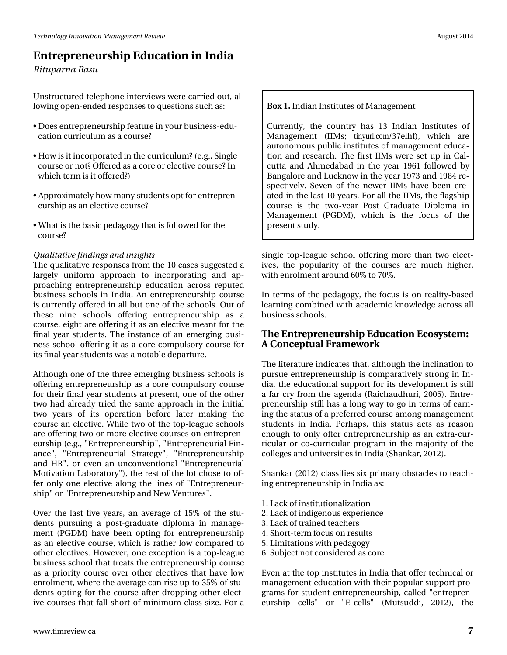# Hawuhsuhahxuvkis#Haxfdwirg#q#Laqid Ulwsdugd#Edvx

X gwuxf w. uhg#whohskr gh#gwhuylhz v#z huh#duulhg#xw#do0  $\sigma$  z lqj # shq0hqghg#hvsr qvhv#w # xhvwlr qv#xf k#dv=

- -#Grhv#ngwuhsuhghxuvkls#hdwxuh#q#rxu#exvlghvv0hgx0 f dwlr q#xuulf xoxp #dv#d#r xuvhB
- Kfrz#l∨#lw#qfrusrudwhg#q#wkh#xuulfxoxpB#n1j1/#Mqjdn# fr x wh# w#qrwB#Riihuhg#Jv#J#fruh# w#hohfwlyh#fr x whB#Lq# z klf k# hup #v# w# iihuhg B #
- —#Dssur{lp:dwho|#krz#p:dq|#wxghqww#sw#ru#hqwuhsuhq0 hx uvk Is#dv#dq#hohfwlyh#rx uvhB#
- #Z kdw#v#wkh#edvlf#shgdjrj|#wkdw#v#roorzhg#ru#wkh# frxwhB

#### Txdolwdwlyh#lqglqjv#dqg#qvljkw

Wkh#xddvdwlyh#uhvsrqvhv#urp#wkh#43#dvhv#vxjjhvvhg#d# odujhoj#xqlirup#dssurdfk#wr#lqfrusrudwlqj#dqg#ds0 sur df klqj #hqw.hsuhqhxuvkls#hgxfdwlrq#dfurw#uhsxwhg# exvighw#vfkrrov#iq#Lqgld#Dq#hqwuhsuhqhxuvkls#frxuvh# lv#xuuhqvo|#iihuhg#q#doo#exw#qh#i#wkh#vfkrrov1#Rxw#i# wkhvh#qlqh#vfkrrov#riihulqj#hqwuhsuhqhxuvkls#dv#d# fr x wh/#hljkw#duh#iihulgj#w#dv#dg#hohfwlyh#phdgw#ru#wkh# ilqdo#hdu#wxghqwr#Wkh#lqwodqfh#ri#dq#hphujlqj#exvl0 qhvv#vfkrro#riihulqj#lw#dv#d#fruh#frpsxovru|#frxuvh#iru# lw#lqdd#hdu#wxghqw#zdv#d#qrwdedn#ghsduwxuh#

Dowkrxjk#qh#ri#wkh#wkuhh#hphujlqj#exvlqhvv#vfkrrov#lv# riihulqj#hqwuhsuhqhxuvkls#dv#d#fruh#frpsxovru|#frxuvh# ir u#wk hlu#llqdo#hdu#wxghqw#dwsuhvhqw#rqh#ri#wkh#rwkhu# wzr#kdg#da.hdg|#wulhg#wkh#vdph#dssurdfk#lq#wkh#lqlwldd# wzr#|hduv#ri#lw#rshudwlrq#ehiruh#odwhu#pdnlqj#wkh# fr x uvh#dq#hdnfwlyh1#Z kldn#wz r#ri#wkh#wrs0dndjxh#vfkrrov# duh#iihulqj#wzr#u#pruh#hohfwlyh#frxuvhv#q#hqwuhsuhq0 hx wkls#h1j1#bdqwuhs uhqhx wkls%#bdqwuhs uhqhx uldc#lq0 dqf h%#%Hqwuhsuhqhxuldo#Wwdwhj |%#%Hqwuhsuhqhxuvkls# dqg#KU%#ru#hyhq#dq#xqfrqyhqwtrqdd#%Hqwuhsuhqhxuldd# Prwlydwlro,#Oderudwru|%/#wkh#uhww#ri#wkh#orw#fkrvh#wr#ri0 ihu#r qo| #r qh#hohf wlyh#dor qj #wkh#olqhv#ri#%Hqwuhsuhqhxu0 vkls%# u#%Hqwuhsuhqhxuvkls#dqg#Qhz#Yhqwxuhv%#

Ryhu#wkh#odvw#ilyh#| hduv/#dq#dyhudjh#ri#48(#ri#wkh#vwx0 ghqw#sxuvxlqj#d#srvv0judgxdvh#glsorpd#lq#pdqdjh0 p hqw#+SJGP,#kdyh#ehhq#rswlqj#iru#hqwuhsuhqhxuvkls# dv#dq#hohfwlyh#frxuvh/#zklfk#lv#udwkhu#orz#frpsduhg#wr# r wkhu#hdnfwlyhv1#Krzhyhu/#rqh#h{fhswlrq#lv#d#wrs0dndjxh# exvlqhvv#vfkrrd#wkdw#wuhdw#wkh#hqwuhsuhqhxuvkls#rxuvh# dv#d#sulrulw|#frxuvh#ryhu#rwkhu#hdnfwlyhv#wkdw#kdyh#orz# hqurophqw/#zkhuh#wkh#dyhudjh#fdq#ulvh#xs#wr#68(#ri#wx0 ghqww#rswlqj#iru#wkh#frxuvh#diwhu#gursslqj#rwkhu#hohfw0 lyh#frxuvhv#wkdw#doo#vkruw#ri#plqlpxp#fodvv#vl}h1#fru#d# Er {#1#Lqgldq#Lqvwlwxwhv#i#Pdqdjhphqw#

Fx uuhqvool /#vkh#fr x qvu|#k dv#46#Lqgldq#Lq vvlvxx vhv#ri# P dqdj hp hqw# +LLP v=# wiq| xuofrp 26: hoki, /# z klfk# duh# dxwrqrprxv#sxedf#qwlwxwhv#ri#pdqdjhphqw#hgxfd0 whrq#dqg#uhvhdufk1#AWkh#iluw#LLPv#zhuh#vhw#xs#lq#Fdo0 fxwd#dgg#Dkphgdedg#lg#wkh#|hdu#4<94#iroorzhg#e|# Edqj dor uh#dqg#Oxf nqr z #q#wk h# hdu#4<: 6#dqg#4<; 7#uh0 vshf wyho #Vhyhq#r i#wkh#qhz hu#LIP v#kdyh#ehhq#f uh0 dwhg#q#wkh#odvw#43#,hduv# ru#doo#wkh#LLPv/#wkh#odjvkls# frxuvh#lv#wkh#wzr0|hdu#Srvw#Judgxdwh#Glsorpd#lq# P dgdj hp hgw#+SJGP, /#z klfk#lv#wkh#irfxv#ri#wkh# suhvhqwww.g|1

vlqjoh #wrs0ohdjxh #vfkrro#riihulqj#pruh #wkdq#wzr#hohfw0 lyhv/#wkh#srsxodulw|#ri#wkh#frxuvhv#duh#pxfk#kljkhu/# z lwk#hqurop hqw#durxqg#93(#wr#3(#

Lq#whup v#ri#wkh#shgdjrj|/#wkh#irfxv#lv#rq#uhdolw|0edvhg# ohduqlqj#frpelqhg#zlwk#dfdghplf#nqrzohgjh#dfurw#doo# exvighw# fkrrov#

#### Wkh#Hqwuhsuhqhxuvkls#Hgxfdwlrq#Hfrv|whp #  $D \# r$  q f h swx do # udp h z r un

Wkh#Jwhudwxuh#qglfdwhv#wkdw#dowkrxjk#wkh#lqfdlqdwlrq#wr# sxuvxh#hqwuhsuhqhxuvkls#lv#frpsdudwlyho|#wwrqj#lq#Lq0 gld/#wkh#hgxfdwlrqdc#vxssruw#iru#lww#ghyhorsphqw#lv#wwloo# d#idu#fu|#iurp#wkh#djhqgd#+Udlfkdxgkxul/#5338,14Hqwuh0 suhqhxuvkls#wloo#kdv#d#orqj#zd|#wr#jr#lq#whupv#ri#hduq0 lqj#wkh#wolwxv#i#d#suhihuuhg#frxuvh#dprqj#pdqdjhphqw# wxghqw#lq#LqgId#Shukdsv/#wkIv#vvdwxv#dfw#dv#uhdvrq# har x j k # w #  $q\bar{q}$  # i i hu# have had hx wk ls # dv# dq # n { wd 0 f  $x \bar{u}$ ulfxodu#ru#fr0fxuulfxodu#surjudp#lq# wkh#pdmulw|#ri# wkh# frochjhv#dqg#xqlyhuvlwhv#q#Lqgld#AVkdqndu/#5345,1#

Vkdqndu#5345,#fodwlilhv#vl{#sulpdu|#rewdfolv#wr#whdfk0 lqj#nqwuhsuhqhxuvkls#q#Lqgld#dv=

414Ddf n# i#qwww.wlrqdd}dwlrq 514Odf n#i#qglj hqr xv#n{shulhqf h 614Odf n# i#wdlqhg#whdf khw 714 Akruw Whup #rf x v#q#uh v x ow 814Op Iwdwlr qv#z Iwk #shgdjrj| 91# /xemlfw#qrw#rqvlghuhg#dv#ruh

Hyhq#dw#wkh#wrs#qvwlwxwhv#q#Lqgld#wkdw#iihu#whfkqlfdd#u# pdqdjhphqw#hgxfdwlrq#zlwk#wkhlu#srsxodu#wxssruw#sur0 judp v#iru#wxghqw#hqwuhsuhqhxuvkls/#fdoohg#%hqwuhsuhq0 hx uvk ls#fhoov%#ru#%H0fhoov%#+Px wwxggl/#5345,/#wk h#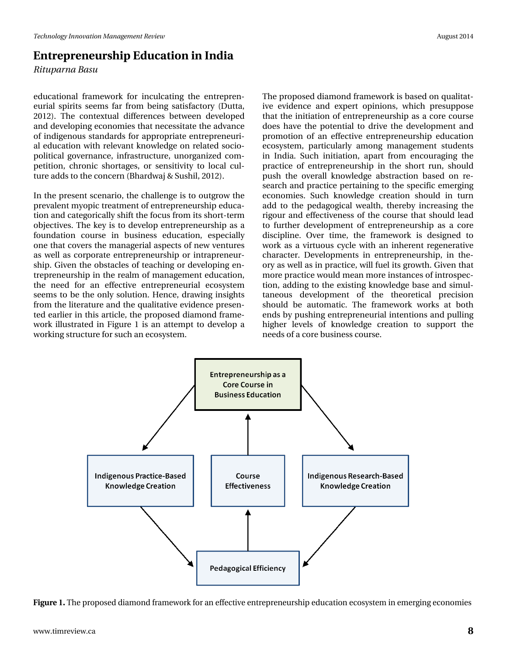## **Entrepreneurship Education in India**

*Rituparna Basu*

educational framework for inculcating the entrepreneurial spirits seems far from being satisfactory (Dutta, 2012). The contextual differences between developed and developing economies that necessitate the advance of indigenous standards for appropriate entrepreneurial education with relevant knowledge on related sociopolitical governance, infrastructure, unorganized competition, chronic shortages, or sensitivity to local culture adds to the concern (Bhardwaj & Sushil, 2012).

In the present scenario, the challenge is to outgrow the prevalent myopic treatment of entrepreneurship education and categorically shift the focus from its short-term objectives. The key is to develop entrepreneurship as a foundation course in business education, especially one that covers the managerial aspects of new ventures as well as corporate entrepreneurship or intrapreneurship. Given the obstacles of teaching or developing entrepreneurship in the realm of management education, the need for an effective entrepreneurial ecosystem seems to be the only solution. Hence, drawing insights from the literature and the qualitative evidence presented earlier in this article, the proposed diamond framework illustrated in Figure 1 is an attempt to develop a working structure for such an ecosystem.

The proposed diamond framework is based on qualitative evidence and expert opinions, which presuppose that the initiation of entrepreneurship as a core course does have the potential to drive the development and promotion of an effective entrepreneurship education ecosystem, particularly among management students in India. Such initiation, apart from encouraging the practice of entrepreneurship in the short run, should push the overall knowledge abstraction based on research and practice pertaining to the specific emerging economies. Such knowledge creation should in turn add to the pedagogical wealth, thereby increasing the rigour and effectiveness of the course that should lead to further development of entrepreneurship as a core discipline. Over time, the framework is designed to work as a virtuous cycle with an inherent regenerative character. Developments in entrepreneurship, in theory as well as in practice, will fuel its growth. Given that more practice would mean more instances of introspection, adding to the existing knowledge base and simultaneous development of the theoretical precision should be automatic. The framework works at both ends by pushing entrepreneurial intentions and pulling higher levels of knowledge creation to support the needs of a core business course.



**Figure 1.** The proposed diamond framework for an effective entrepreneurship education ecosystem in emerging economies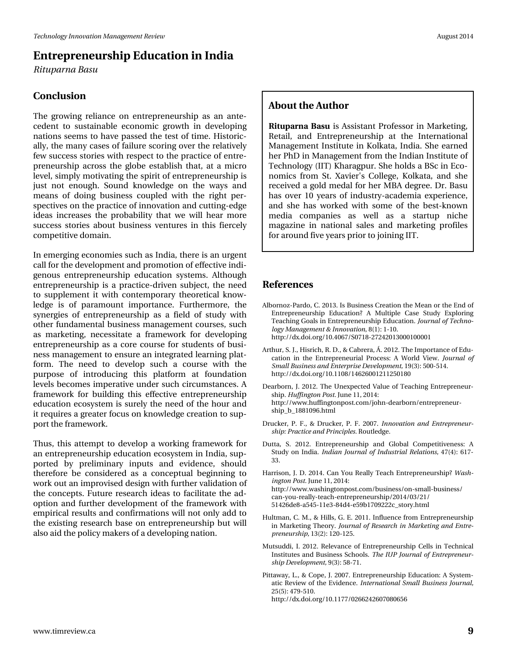## **Entrepreneurship Education in India**

*Rituparna Basu*

#### **Conclusion**

The growing reliance on entrepreneurship as an antecedent to sustainable economic growth in developing nations seems to have passed the test of time. Historically, the many cases of failure scoring over the relatively few success stories with respect to the practice of entrepreneurship across the globe establish that, at a micro level, simply motivating the spirit of entrepreneurship is just not enough. Sound knowledge on the ways and means of doing business coupled with the right perspectives on the practice of innovation and cutting-edge ideas increases the probability that we will hear more success stories about business ventures in this fiercely competitive domain.

In emerging economies such as India, there is an urgent call for the development and promotion of effective indigenous entrepreneurship education systems. Although entrepreneurship is a practice-driven subject, the need to supplement it with contemporary theoretical knowledge is of paramount importance. Furthermore, the synergies of entrepreneurship as a field of study with other fundamental business management courses, such as marketing, necessitate a framework for developing entrepreneurship as a core course for students of business management to ensure an integrated learning platform. The need to develop such a course with the purpose of introducing this platform at foundation levels becomes imperative under such circumstances. A framework for building this effective entrepreneurship education ecosystem is surely the need of the hour and it requires a greater focus on knowledge creation to support the framework.

Thus, this attempt to develop a working framework for an entrepreneurship education ecosystem in India, supported by preliminary inputs and evidence, should therefore be considered as a conceptual beginning to work out an improvised design with further validation of the concepts. Future research ideas to facilitate the adoption and further development of the framework with empirical results and confirmations will not only add to the existing research base on entrepreneurship but will also aid the policy makers of a developing nation.

#### **About the Author**

**Rituparna Basu** is Assistant Professor in Marketing, Retail, and Entrepreneurship at the International Management Institute in Kolkata, India. She earned her PhD in Management from the Indian Institute of Technology (IIT) Kharagpur. She holds a BSc in Economics from St. Xavier's College, Kolkata, and she received a gold medal for her MBA degree. Dr. Basu has over 10 years of industry-academia experience, and she has worked with some of the best-known media companies as well as a startup niche magazine in national sales and marketing profiles for around five years prior to joining IIT.

#### **References**

- Albornoz-Pardo, C. 2013. Is Business Creation the Mean or the End of Entrepreneurship Education? A Multiple Case Study Exploring Teaching Goals in Entrepreneurship Education. *Journal of Technology Management & Innovation*, 8(1): 1-10. http://dx.doi.org/10.4067/S0718-27242013000100001
- Arthur, S. J., Hisrich, R. D., & Cabrera, Á. 2012. The Importance of Education in the Entrepreneurial Process: A World View. *Journal of Small Business and Enterprise Development,* 19(3): 500-514. http://dx.doi.org/10.1108/14626001211250180
- Dearborn, J. 2012. The Unexpected Value of Teaching Entrepreneurship. *Huffington Post.* June 11, 2014: http://www.huffingtonpost.com/john-dearborn/entrepreneurship\_b\_1881096.html
- Drucker, P. F., & Drucker, P. F. 2007. *Innovation and Entrepreneurship: Practice and Principles.* Routledge.
- Dutta, S. 2012. Entrepreneurship and Global Competitiveness: A Study on India. *Indian Journal of Industrial Relations,* 47(4): 617- 33.
- Harrison, J. D. 2014. Can You Really Teach Entrepreneurship? *Washington Post.* June 11, 2014: http://www.washingtonpost.com/business/on-small-business/ can-you-really-teach-entrepreneurship/2014/03/21/ 51426de8-a545-11e3-84d4-e59b1709222c\_story.html
- Hultman, C. M., & Hills, G. E. 2011. Influence from Entrepreneurship in Marketing Theory. *Journal of Research in Marketing and Entrepreneurship,* 13(2): 120-125.
- Mutsuddi, I. 2012. Relevance of Entrepreneurship Cells in Technical Institutes and Business Schools. *The IUP Journal of Entrepreneurship Development,* 9(3): 58-71.
- Pittaway, L., & Cope, J. 2007. Entrepreneurship Education: A Systematic Review of the Evidence. *International Small Business Journal,* 25(5): 479-510. http://dx.doi.org/10.1177/0266242607080656